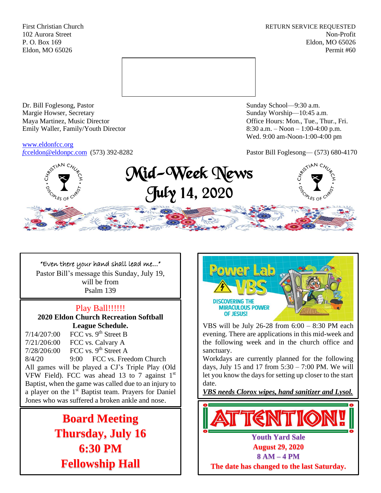First Christian Church **RETURN SERVICE REQUESTED** 102 Aurora Street Non-Profit P. O. Box 169 Eldon, MO 65026 Eldon, MO 65026 Permit #60



Dr. Bill Foglesong, Pastor Sunday School—9:30 a.m. Margie Howser, Secretary Sunday Worship—10:45 a.m. Maya Martinez, Music Director Office Hours: Mon., Tue., Thur., Fri. Emily Waller, Family/Youth Director 8:30 a.m. – Noon – 1:00-4:00 p.m.

[www.eldonfcc.org](http://www.eldonfcc.org/)

Wed. 9:00 am-Noon-1:00-4:00 pm

*f*[cceldon@eldonpc.com](mailto:fcceldon@eldonpc.com) (573) 392-8282 Pastor Bill Foglesong— (573) 680-4170



# "Even there your hand shall lead me..."

Pastor Bill's message this Sunday, July 19, will be from Psalm 139

## Play Ball!!!!!!

**2020 Eldon Church Recreation Softball League Schedule.**

 $7/14/207:00$  FCC vs. 9<sup>th</sup> Street B 7/21/206:00 FCC vs. Calvary A  $7/28/206.00$  FCC vs. 9<sup>th</sup> Street A 8/4/20 9:00 FCC vs. Freedom Church All games will be played a CJ's Triple Play (Old VFW Field). FCC was ahead 13 to 7 against  $1<sup>st</sup>$ Baptist, when the game was called due to an injury to a player on the 1<sup>st</sup> Baptist team. Prayers for Daniel Jones who was suffered a broken ankle and nose.

> **Board Meeting Thursday, July 16 6:30 PM Fellowship Hall**



VBS will be July 26-28 from 6:00 – 8:30 PM each evening. There are applications in this mid-week and the following week and in the church office and sanctuary.

Workdays are currently planned for the following days, July 15 and 17 from  $5:30 - 7:00$  PM. We will let you know the days for setting up closer to the start date.

*VBS needs Clorox wipes, hand sanitizer and Lysol.*